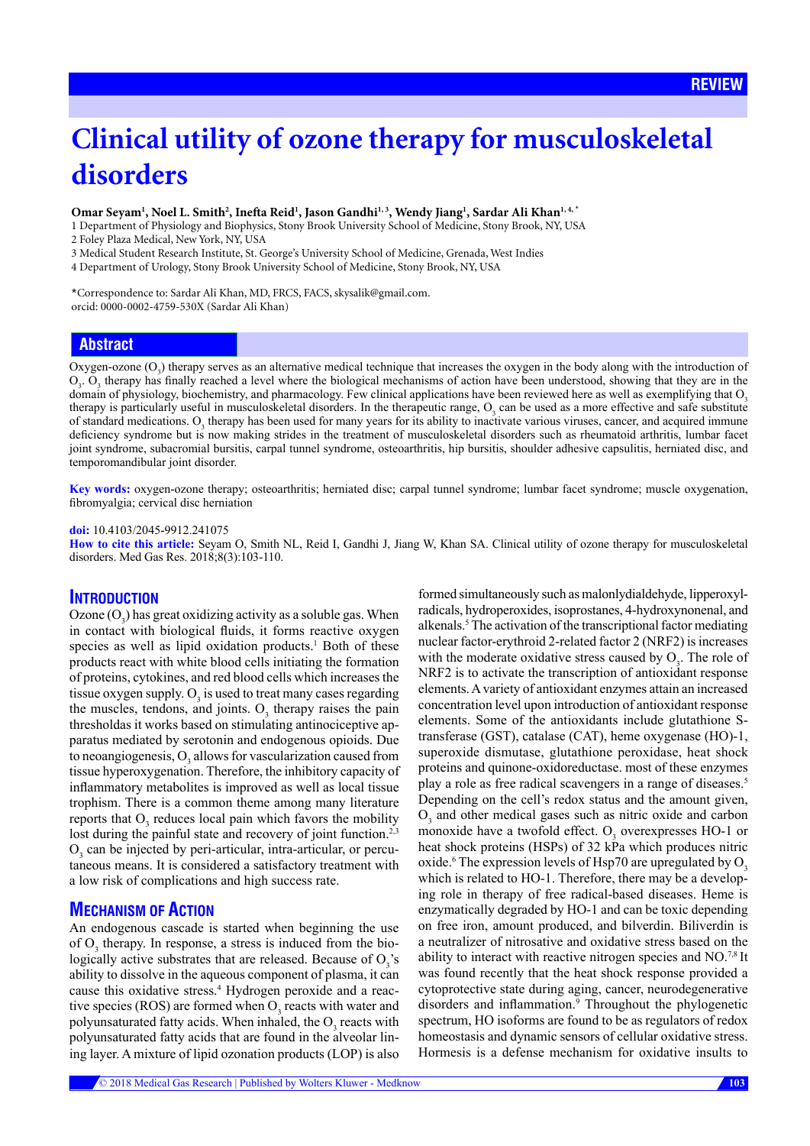# **Clinical utility of ozone therapy for musculoskeletal disorders**

Omar Seyam<sup>1</sup>, Noel L. Smith<sup>2</sup>, Inefta Reid<sup>1</sup>, Jason Gandhi<sup>1, 3</sup>, Wendy Jiang<sup>1</sup>, Sardar Ali Khan<sup>1, 4,</sup> \*

2 Foley Plaza Medical, New York, NY, USA

3 Medical Student Research Institute, St. George's University School of Medicine, Grenada, West Indies

4 Department of Urology, Stony Brook University School of Medicine, Stony Brook, NY, USA

\*Correspondence to: Sardar Ali Khan, MD, FRCS, FACS, skysalik@gmail.com. orcid: [0000-0002-4759-530X](http://orcid.org/0000-0002-4759-530X) (Sardar Ali Khan)

# **Abstract**

Oxygen-ozone  $(O_3)$  therapy serves as an alternative medical technique that increases the oxygen in the body along with the introduction of  $O_3$ .  $O_3$  therapy has finally reached a level where the biological mechanisms of action have been understood, showing that they are in the domain of physiology, biochemistry, and pharmacology. Few clinical applications have been reviewed here as well as exemplifying that O<sub>3</sub> therapy is particularly useful in musculoskeletal disorders. In the therapeutic range,  $O_3$  can be used as a more effective and safe substitute of standard medications. O<sub>3</sub> therapy has been used for many years for its ability to inactivate various viruses, cancer, and acquired immune deficiency syndrome but is now making strides in the treatment of musculoskeletal disorders such as rheumatoid arthritis, lumbar facet joint syndrome, subacromial bursitis, carpal tunnel syndrome, osteoarthritis, hip bursitis, shoulder adhesive capsulitis, herniated disc, and temporomandibular joint disorder.

**Key words:** oxygen-ozone therapy; osteoarthritis; herniated disc; carpal tunnel syndrome; lumbar facet syndrome; muscle oxygenation, fibromyalgia; cervical disc herniation

## **doi:** 10.4103/2045-9912.241075

**How to cite this article:** Seyam O, Smith NL, Reid I, Gandhi J, Jiang W, Khan SA. Clinical utility of ozone therapy for musculoskeletal disorders. Med Gas Res. 2018;8(3):103-110.

# **INTRODUCTION**

Ozone  $(O_3)$  has great oxidizing activity as a soluble gas. When in contact with biological fluids, it forms reactive oxygen species as well as lipid oxidation products.<sup>1</sup> Both of these products react with white blood cells initiating the formation of proteins, cytokines, and red blood cells which increases the tissue oxygen supply.  $O_3$  is used to treat many cases regarding the muscles, tendons, and joints.  $O_3$  therapy raises the pain thresholdas it works based on stimulating antinociceptive apparatus mediated by serotonin and endogenous opioids. Due to neoangiogenesis,  $O_3$  allows for vascularization caused from tissue hyperoxygenation. Therefore, the inhibitory capacity of inflammatory metabolites is improved as well as local tissue trophism. There is a common theme among many literature reports that  $O_3$  reduces local pain which favors the mobility lost during the painful state and recovery of joint function.<sup>2,3</sup>  $O<sub>3</sub>$  can be injected by peri-articular, intra-articular, or percutaneous means. It is considered a satisfactory treatment with a low risk of complications and high success rate.

# **MECHANISM OF ACTION**

An endogenous cascade is started when beginning the use of  $O_3$  therapy. In response, a stress is induced from the biologically active substrates that are released. Because of  $O_3$ 's ability to dissolve in the aqueous component of plasma, it can cause this oxidative stress.<sup>4</sup> Hydrogen peroxide and a reactive species (ROS) are formed when  $O_3$  reacts with water and polyunsaturated fatty acids. When inhaled, the  $O_3$  reacts with polyunsaturated fatty acids that are found in the alveolar lining layer. A mixture of lipid ozonation products (LOP) is also

formed simultaneously such as malonlydialdehyde, lipperoxylradicals, hydroperoxides, isoprostanes, 4-hydroxynonenal, and alkenals.<sup>5</sup> The activation of the transcriptional factor mediating nuclear factor-erythroid 2-related factor 2 (NRF2) is increases with the moderate oxidative stress caused by  $O_3$ . The role of NRF2 is to activate the transcription of antioxidant response elements. A variety of antioxidant enzymes attain an increased concentration level upon introduction of antioxidant response elements. Some of the antioxidants include glutathione Stransferase (GST), catalase (CAT), heme oxygenase (HO)-1, superoxide dismutase, glutathione peroxidase, heat shock proteins and quinone-oxidoreductase. most of these enzymes play a role as free radical scavengers in a range of diseases.5 Depending on the cell's redox status and the amount given,  $O<sub>3</sub>$  and other medical gases such as nitric oxide and carbon monoxide have a twofold effect.  $O_3$  overexpresses HO-1 or heat shock proteins (HSPs) of 32 kPa which produces nitric oxide.<sup>6</sup> The expression levels of Hsp70 are upregulated by  $O_3$ which is related to HO-1. Therefore, there may be a developing role in therapy of free radical-based diseases. Heme is enzymatically degraded by HO-1 and can be toxic depending on free iron, amount produced, and bilverdin. Biliverdin is a neutralizer of nitrosative and oxidative stress based on the ability to interact with reactive nitrogen species and NO.7,8 It was found recently that the heat shock response provided a cytoprotective state during aging, cancer, neurodegenerative disorders and inflammation.<sup>9</sup> Throughout the phylogenetic spectrum, HO isoforms are found to be as regulators of redox homeostasis and dynamic sensors of cellular oxidative stress. Hormesis is a defense mechanism for oxidative insults to

<sup>1</sup> Department of Physiology and Biophysics, Stony Brook University School of Medicine, Stony Brook, NY, USA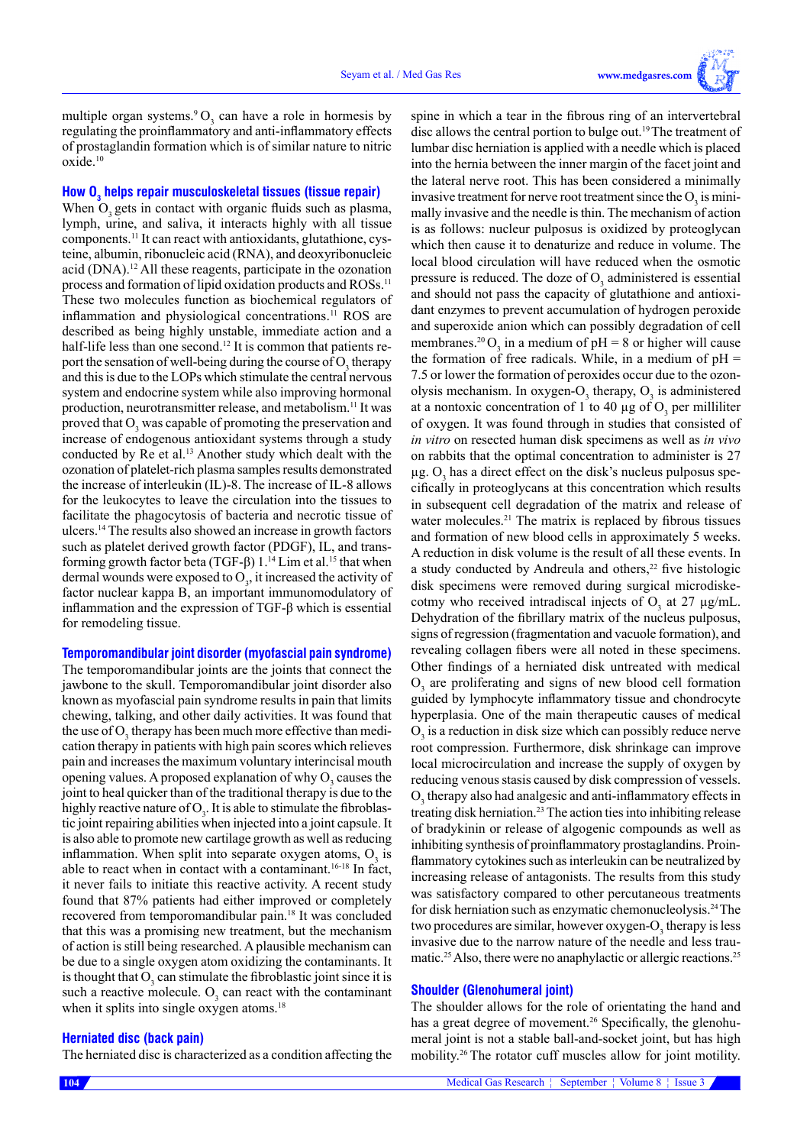

multiple organ systems.  $O_3$  can have a role in hormesis by regulating the proinflammatory and anti-inflammatory effects of prostaglandin formation which is of similar nature to nitric oxide.10

# **How O3 helps repair musculoskeletal tissues (tissue repair)**

When  $\overline{O}$ , gets in contact with organic fluids such as plasma, lymph, urine, and saliva, it interacts highly with all tissue components.11 It can react with antioxidants, glutathione, cysteine, albumin, ribonucleic acid (RNA), and deoxyribonucleic acid (DNA).12 All these reagents, participate in the ozonation process and formation of lipid oxidation products and ROSs.<sup>11</sup> These two molecules function as biochemical regulators of inflammation and physiological concentrations.<sup>11</sup> ROS are described as being highly unstable, immediate action and a half-life less than one second.<sup>12</sup> It is common that patients report the sensation of well-being during the course of  $O_3$  therapy and this is due to the LOPs which stimulate the central nervous system and endocrine system while also improving hormonal production, neurotransmitter release, and metabolism.11 It was proved that  $O_3$  was capable of promoting the preservation and increase of endogenous antioxidant systems through a study conducted by Re et al.13 Another study which dealt with the ozonation of platelet-rich plasma samples results demonstrated the increase of interleukin (IL)-8. The increase of IL-8 allows for the leukocytes to leave the circulation into the tissues to facilitate the phagocytosis of bacteria and necrotic tissue of ulcers.14 The results also showed an increase in growth factors such as platelet derived growth factor (PDGF), IL, and transforming growth factor beta (TGF-β)  $1.^{14}$  Lim et al.<sup>15</sup> that when dermal wounds were exposed to  $O_3$ , it increased the activity of factor nuclear kappa B, an important immunomodulatory of inflammation and the expression of TGF-β which is essential for remodeling tissue.

#### **Temporomandibular joint disorder (myofascial pain syndrome)**

The temporomandibular joints are the joints that connect the jawbone to the skull. Temporomandibular joint disorder also known as myofascial pain syndrome results in pain that limits chewing, talking, and other daily activities. It was found that the use of  $O_3$  therapy has been much more effective than medication therapy in patients with high pain scores which relieves pain and increases the maximum voluntary interincisal mouth opening values. A proposed explanation of why  $O_3$  causes the joint to heal quicker than of the traditional therapy is due to the highly reactive nature of  $O_3$ . It is able to stimulate the fibroblastic joint repairing abilities when injected into a joint capsule. It is also able to promote new cartilage growth as well as reducing inflammation. When split into separate oxygen atoms,  $O_3$  is able to react when in contact with a contaminant.<sup>16-18</sup> In fact, it never fails to initiate this reactive activity. A recent study found that 87% patients had either improved or completely recovered from temporomandibular pain.18 It was concluded that this was a promising new treatment, but the mechanism of action is still being researched. A plausible mechanism can be due to a single oxygen atom oxidizing the contaminants. It is thought that  $O_3$  can stimulate the fibroblastic joint since it is such a reactive molecule.  $O_3$  can react with the contaminant when it splits into single oxygen atoms.<sup>18</sup>

# **Herniated disc (back pain)**

The herniated disc is characterized as a condition affecting the

spine in which a tear in the fibrous ring of an intervertebral disc allows the central portion to bulge out.19 The treatment of lumbar disc herniation is applied with a needle which is placed into the hernia between the inner margin of the facet joint and the lateral nerve root. This has been considered a minimally invasive treatment for nerve root treatment since the  $O_3$  is minimally invasive and the needle is thin. The mechanism of action is as follows: nucleur pulposus is oxidized by proteoglycan which then cause it to denaturize and reduce in volume. The local blood circulation will have reduced when the osmotic pressure is reduced. The doze of  $O_3$  administered is essential and should not pass the capacity of glutathione and antioxidant enzymes to prevent accumulation of hydrogen peroxide and superoxide anion which can possibly degradation of cell membranes.<sup>20</sup> $O_3$  in a medium of pH = 8 or higher will cause the formation of free radicals. While, in a medium of  $pH =$ 7.5 or lower the formation of peroxides occur due to the ozonolysis mechanism. In oxygen- $O_3$  therapy,  $O_3$  is administered at a nontoxic concentration of 1 to 40  $\mu$ g of O<sub>3</sub> per milliliter of oxygen. It was found through in studies that consisted of *in vitro* on resected human disk specimens as well as *in vivo*  on rabbits that the optimal concentration to administer is 27  $\mu$ g. O<sub>3</sub> has a direct effect on the disk's nucleus pulposus specifically in proteoglycans at this concentration which results in subsequent cell degradation of the matrix and release of water molecules.<sup>21</sup> The matrix is replaced by fibrous tissues and formation of new blood cells in approximately 5 weeks. A reduction in disk volume is the result of all these events. In a study conducted by Andreula and others,<sup>22</sup> five histologic disk specimens were removed during surgical microdiskecotmy who received intradiscal injects of  $O_3$  at 27  $\mu$ g/mL. Dehydration of the fibrillary matrix of the nucleus pulposus, signs of regression (fragmentation and vacuole formation), and revealing collagen fibers were all noted in these specimens. Other findings of a herniated disk untreated with medical  $O<sub>3</sub>$  are proliferating and signs of new blood cell formation guided by lymphocyte inflammatory tissue and chondrocyte hyperplasia. One of the main therapeutic causes of medical  $O_3$  is a reduction in disk size which can possibly reduce nerve root compression. Furthermore, disk shrinkage can improve local microcirculation and increase the supply of oxygen by reducing venous stasis caused by disk compression of vessels.  $O_3$  therapy also had analgesic and anti-inflammatory effects in treating disk herniation.23 The action ties into inhibiting release of bradykinin or release of algogenic compounds as well as inhibiting synthesis of proinflammatory prostaglandins. Proinflammatory cytokines such as interleukin can be neutralized by increasing release of antagonists. The results from this study was satisfactory compared to other percutaneous treatments for disk herniation such as enzymatic chemonucleolysis.24 The two procedures are similar, however oxygen- $O_3$  therapy is less invasive due to the narrow nature of the needle and less traumatic.<sup>25</sup> Also, there were no anaphylactic or allergic reactions.<sup>25</sup>

## **Shoulder (Glenohumeral joint)**

The shoulder allows for the role of orientating the hand and has a great degree of movement.<sup>26</sup> Specifically, the glenohumeral joint is not a stable ball-and-socket joint, but has high mobility.26 The rotator cuff muscles allow for joint motility.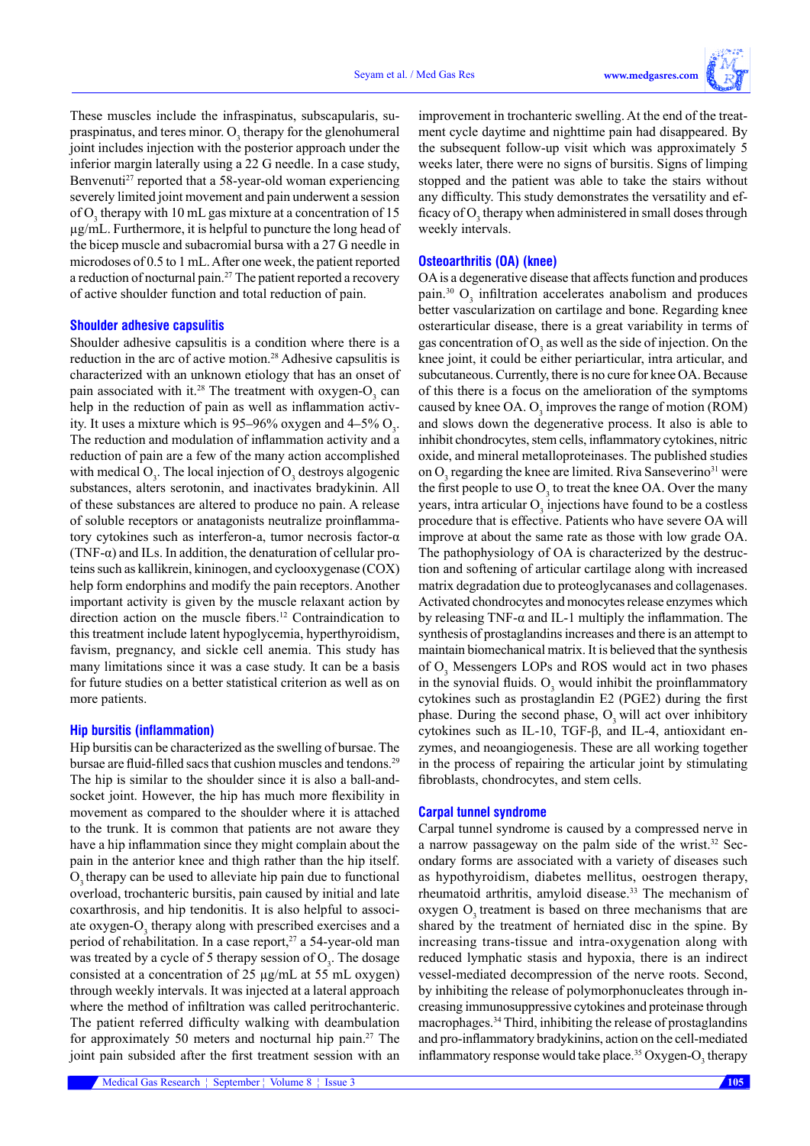These muscles include the infraspinatus, subscapularis, supraspinatus, and teres minor.  $O_3$  therapy for the glenohumeral joint includes injection with the posterior approach under the inferior margin laterally using a 22 G needle. In a case study, Benvenuti<sup>27</sup> reported that a 58-year-old woman experiencing severely limited joint movement and pain underwent a session of  $O_3$  therapy with 10 mL gas mixture at a concentration of 15 µg/mL. Furthermore, it is helpful to puncture the long head of the bicep muscle and subacromial bursa with a 27 G needle in microdoses of 0.5 to 1 mL. After one week, the patient reported a reduction of nocturnal pain.27 The patient reported a recovery of active shoulder function and total reduction of pain.

#### **Shoulder adhesive capsulitis**

Shoulder adhesive capsulitis is a condition where there is a reduction in the arc of active motion.<sup>28</sup> Adhesive capsulitis is characterized with an unknown etiology that has an onset of pain associated with it.<sup>28</sup> The treatment with oxygen- $O_3$  can help in the reduction of pain as well as inflammation activity. It uses a mixture which is 95–96% oxygen and  $4-5\%$  O<sub>3</sub>. The reduction and modulation of inflammation activity and a reduction of pain are a few of the many action accomplished with medical  $O_3$ . The local injection of  $O_3$  destroys algogenic substances, alters serotonin, and inactivates bradykinin. All of these substances are altered to produce no pain. A release of soluble receptors or anatagonists neutralize proinflammatory cytokines such as interferon-a, tumor necrosis factor-α (TNF- $\alpha$ ) and ILs. In addition, the denaturation of cellular proteins such as kallikrein, kininogen, and cyclooxygenase (COX) help form endorphins and modify the pain receptors. Another important activity is given by the muscle relaxant action by direction action on the muscle fibers.<sup>12</sup> Contraindication to this treatment include latent hypoglycemia, hyperthyroidism, favism, pregnancy, and sickle cell anemia. This study has many limitations since it was a case study. It can be a basis for future studies on a better statistical criterion as well as on more patients.

#### **Hip bursitis (inflammation)**

Hip bursitis can be characterized as the swelling of bursae. The bursae are fluid-filled sacs that cushion muscles and tendons.<sup>29</sup> The hip is similar to the shoulder since it is also a ball-andsocket joint. However, the hip has much more flexibility in movement as compared to the shoulder where it is attached to the trunk. It is common that patients are not aware they have a hip inflammation since they might complain about the pain in the anterior knee and thigh rather than the hip itself. O<sub>2</sub> therapy can be used to alleviate hip pain due to functional overload, trochanteric bursitis, pain caused by initial and late coxarthrosis, and hip tendonitis. It is also helpful to associate oxygen- $O_3$  therapy along with prescribed exercises and a period of rehabilitation. In a case report, $27$  a 54-year-old man was treated by a cycle of 5 therapy session of  $O_3$ . The dosage consisted at a concentration of 25 µg/mL at 55 mL oxygen) through weekly intervals. It was injected at a lateral approach where the method of infiltration was called peritrochanteric. The patient referred difficulty walking with deambulation for approximately 50 meters and nocturnal hip pain.27 The joint pain subsided after the first treatment session with an

improvement in trochanteric swelling. At the end of the treatment cycle daytime and nighttime pain had disappeared. By the subsequent follow-up visit which was approximately 5 weeks later, there were no signs of bursitis. Signs of limping stopped and the patient was able to take the stairs without any difficulty. This study demonstrates the versatility and efficacy of  $O_3$  therapy when administered in small doses through weekly intervals.

# **Osteoarthritis (OA) (knee)**

OA is a degenerative disease that affects function and produces pain.<sup>30</sup>  $O_3$  infiltration accelerates anabolism and produces better vascularization on cartilage and bone. Regarding knee osterarticular disease, there is a great variability in terms of gas concentration of  $O_3$  as well as the side of injection. On the knee joint, it could be either periarticular, intra articular, and subcutaneous. Currently, there is no cure for knee OA. Because of this there is a focus on the amelioration of the symptoms caused by knee OA.  $O_3$  improves the range of motion (ROM) and slows down the degenerative process. It also is able to inhibit chondrocytes, stem cells, inflammatory cytokines, nitric oxide, and mineral metalloproteinases. The published studies on  $O_3$  regarding the knee are limited. Riva Sanseverino<sup>31</sup> were the first people to use  $O_3$  to treat the knee OA. Over the many years, intra articular  $O_3$  injections have found to be a costless procedure that is effective. Patients who have severe OA will improve at about the same rate as those with low grade OA. The pathophysiology of OA is characterized by the destruction and softening of articular cartilage along with increased matrix degradation due to proteoglycanases and collagenases. Activated chondrocytes and monocytes release enzymes which by releasing TNF-α and IL-1 multiply the inflammation. The synthesis of prostaglandins increases and there is an attempt to maintain biomechanical matrix. It is believed that the synthesis of  $O_3$  Messengers LOPs and ROS would act in two phases in the synovial fluids.  $O_3$  would inhibit the proinflammatory cytokines such as prostaglandin E2 (PGE2) during the first phase. During the second phase,  $O_3$  will act over inhibitory cytokines such as IL-10, TGF-β, and IL-4, antioxidant enzymes, and neoangiogenesis. These are all working together in the process of repairing the articular joint by stimulating fibroblasts, chondrocytes, and stem cells.

## **Carpal tunnel syndrome**

Carpal tunnel syndrome is caused by a compressed nerve in a narrow passageway on the palm side of the wrist.<sup>32</sup> Secondary forms are associated with a variety of diseases such as hypothyroidism, diabetes mellitus, oestrogen therapy, rheumatoid arthritis, amyloid disease.33 The mechanism of oxygen O<sub>2</sub> treatment is based on three mechanisms that are shared by the treatment of herniated disc in the spine. By increasing trans-tissue and intra-oxygenation along with reduced lymphatic stasis and hypoxia, there is an indirect vessel-mediated decompression of the nerve roots. Second, by inhibiting the release of polymorphonucleates through increasing immunosuppressive cytokines and proteinase through macrophages.34 Third, inhibiting the release of prostaglandins and pro-inflammatory bradykinins, action on the cell-mediated inflammatory response would take place.<sup>35</sup> Oxygen-O<sub>3</sub> therapy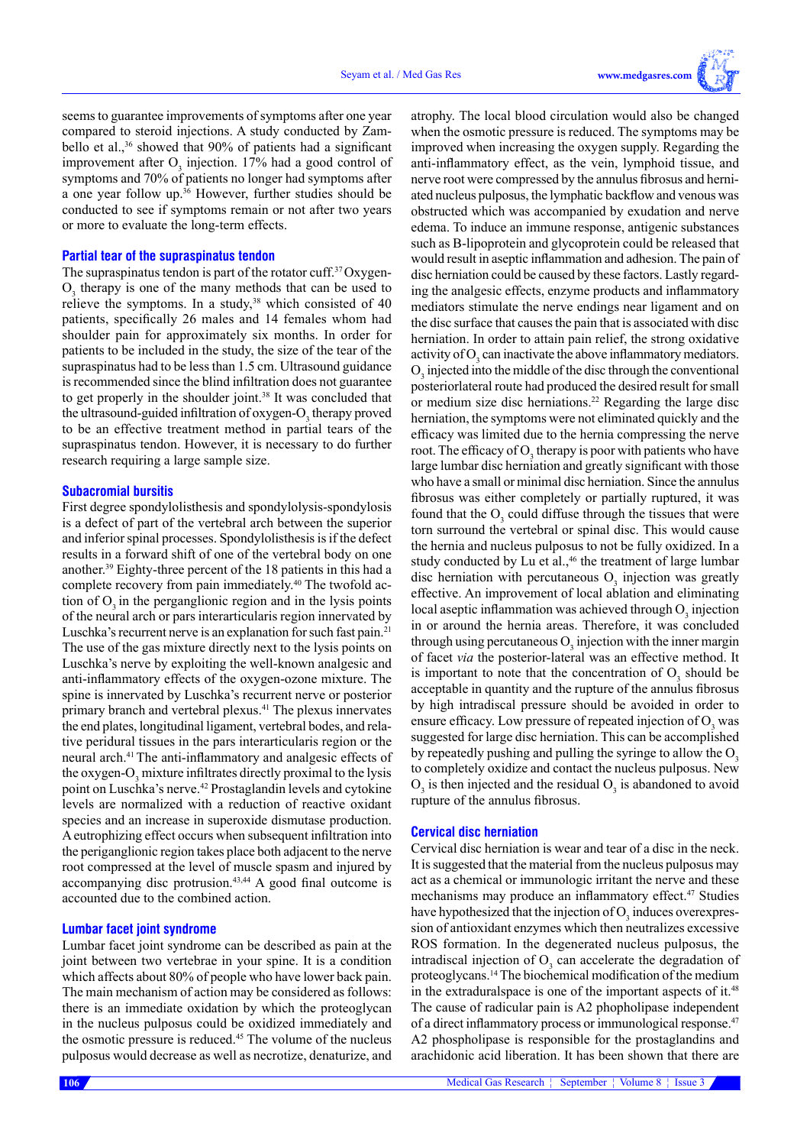

seems to guarantee improvements of symptoms after one year compared to steroid injections. A study conducted by Zambello et al.,<sup>36</sup> showed that 90% of patients had a significant improvement after  $O_3$  injection. 17% had a good control of symptoms and 70% of patients no longer had symptoms after a one year follow up.36 However, further studies should be conducted to see if symptoms remain or not after two years or more to evaluate the long-term effects.

## **Partial tear of the supraspinatus tendon**

The supraspinatus tendon is part of the rotator cuff.<sup>37</sup> Oxygen- $O_3$  therapy is one of the many methods that can be used to relieve the symptoms. In a study,<sup>38</sup> which consisted of  $40$ patients, specifically 26 males and 14 females whom had shoulder pain for approximately six months. In order for patients to be included in the study, the size of the tear of the supraspinatus had to be less than 1.5 cm. Ultrasound guidance is recommended since the blind infiltration does not guarantee to get properly in the shoulder joint.<sup>38</sup> It was concluded that the ultrasound-guided infiltration of oxygen- $O_3$  therapy proved to be an effective treatment method in partial tears of the supraspinatus tendon. However, it is necessary to do further research requiring a large sample size.

#### **Subacromial bursitis**

First degree spondylolisthesis and spondylolysis-spondylosis is a defect of part of the vertebral arch between the superior and inferior spinal processes. Spondylolisthesis is if the defect results in a forward shift of one of the vertebral body on one another.39 Eighty-three percent of the 18 patients in this had a complete recovery from pain immediately.40 The twofold action of  $O<sub>3</sub>$  in the perganglionic region and in the lysis points of the neural arch or pars interarticularis region innervated by Luschka's recurrent nerve is an explanation for such fast pain.<sup>21</sup> The use of the gas mixture directly next to the lysis points on Luschka's nerve by exploiting the well-known analgesic and anti-inflammatory effects of the oxygen-ozone mixture. The spine is innervated by Luschka's recurrent nerve or posterior primary branch and vertebral plexus.41 The plexus innervates the end plates, longitudinal ligament, vertebral bodes, and relative peridural tissues in the pars interarticularis region or the neural arch.41 The anti-inflammatory and analgesic effects of the oxygen- $O_3$  mixture infiltrates directly proximal to the lysis point on Luschka's nerve.42 Prostaglandin levels and cytokine levels are normalized with a reduction of reactive oxidant species and an increase in superoxide dismutase production. A eutrophizing effect occurs when subsequent infiltration into the periganglionic region takes place both adjacent to the nerve root compressed at the level of muscle spasm and injured by accompanying disc protrusion. $43,44$  A good final outcome is accounted due to the combined action.

# **Lumbar facet joint syndrome**

Lumbar facet joint syndrome can be described as pain at the joint between two vertebrae in your spine. It is a condition which affects about 80% of people who have lower back pain. The main mechanism of action may be considered as follows: there is an immediate oxidation by which the proteoglycan in the nucleus pulposus could be oxidized immediately and the osmotic pressure is reduced.<sup>45</sup> The volume of the nucleus pulposus would decrease as well as necrotize, denaturize, and

atrophy. The local blood circulation would also be changed when the osmotic pressure is reduced. The symptoms may be improved when increasing the oxygen supply. Regarding the anti-inflammatory effect, as the vein, lymphoid tissue, and nerve root were compressed by the annulus fibrosus and herniated nucleus pulposus, the lymphatic backflow and venous was obstructed which was accompanied by exudation and nerve edema. To induce an immune response, antigenic substances such as B-lipoprotein and glycoprotein could be released that would result in aseptic inflammation and adhesion. The pain of disc herniation could be caused by these factors. Lastly regarding the analgesic effects, enzyme products and inflammatory mediators stimulate the nerve endings near ligament and on the disc surface that causes the pain that is associated with disc herniation. In order to attain pain relief, the strong oxidative activity of  $O_3$  can inactivate the above inflammatory mediators.  $O_3$  injected into the middle of the disc through the conventional posteriorlateral route had produced the desired result for small or medium size disc herniations.22 Regarding the large disc herniation, the symptoms were not eliminated quickly and the efficacy was limited due to the hernia compressing the nerve root. The efficacy of  $O_3$  therapy is poor with patients who have large lumbar disc herniation and greatly significant with those who have a small or minimal disc herniation. Since the annulus fibrosus was either completely or partially ruptured, it was found that the  $O_3$  could diffuse through the tissues that were torn surround the vertebral or spinal disc. This would cause the hernia and nucleus pulposus to not be fully oxidized. In a study conducted by Lu et al.,<sup>46</sup> the treatment of large lumbar disc herniation with percutaneous  $O_3$  injection was greatly effective. An improvement of local ablation and eliminating local aseptic inflammation was achieved through  $O_3$  injection in or around the hernia areas. Therefore, it was concluded through using percutaneous  $O_3$  injection with the inner margin of facet *via* the posterior-lateral was an effective method. It is important to note that the concentration of  $O_3$  should be acceptable in quantity and the rupture of the annulus fibrosus by high intradiscal pressure should be avoided in order to ensure efficacy. Low pressure of repeated injection of  $O_3$  was suggested for large disc herniation. This can be accomplished by repeatedly pushing and pulling the syringe to allow the  $O<sub>3</sub>$ to completely oxidize and contact the nucleus pulposus. New  $O_3$  is then injected and the residual  $O_3$  is abandoned to avoid rupture of the annulus fibrosus.

#### **Cervical disc herniation**

Cervical disc herniation is wear and tear of a disc in the neck. It is suggested that the material from the nucleus pulposus may act as a chemical or immunologic irritant the nerve and these mechanisms may produce an inflammatory effect.<sup>47</sup> Studies have hypothesized that the injection of  $O_3$  induces overexpression of antioxidant enzymes which then neutralizes excessive ROS formation. In the degenerated nucleus pulposus, the intradiscal injection of  $O_3$  can accelerate the degradation of proteoglycans.14 The biochemical modification of the medium in the extradural space is one of the important aspects of it.<sup>48</sup> The cause of radicular pain is A2 phopholipase independent of a direct inflammatory process or immunological response.<sup>47</sup> A2 phospholipase is responsible for the prostaglandins and arachidonic acid liberation. It has been shown that there are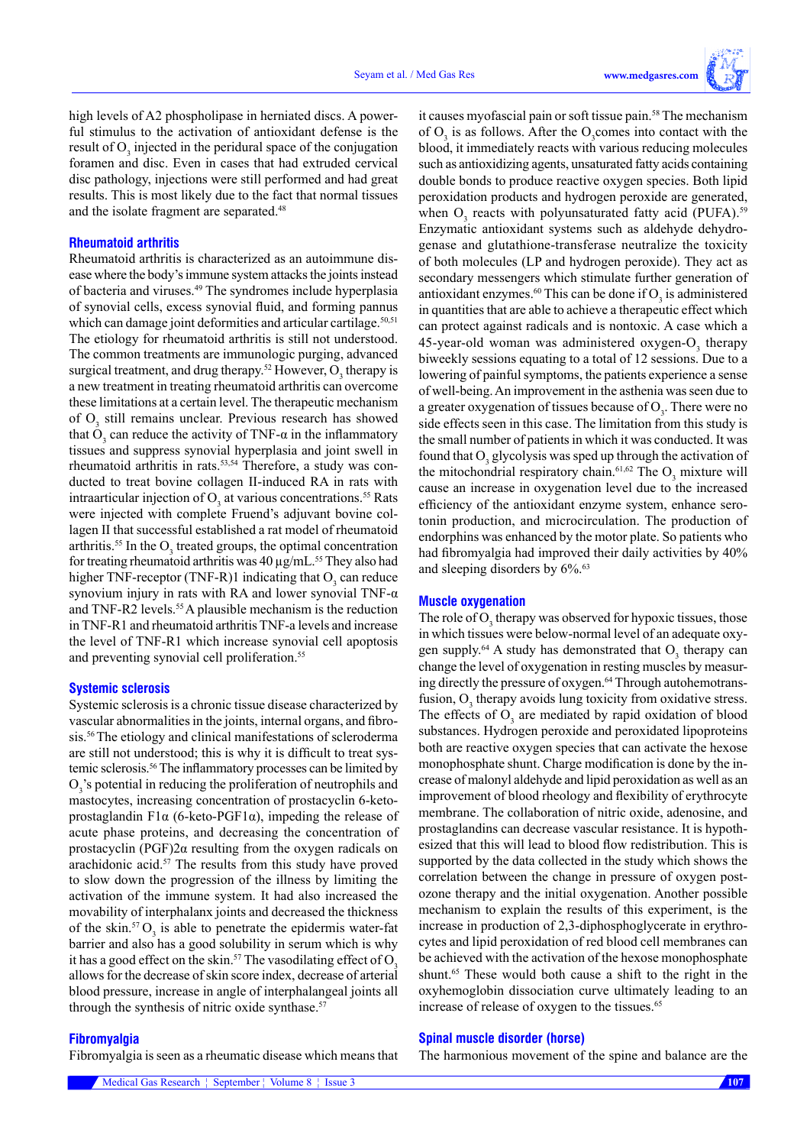high levels of A2 phospholipase in herniated discs. A powerful stimulus to the activation of antioxidant defense is the result of  $O_3$  injected in the peridural space of the conjugation foramen and disc. Even in cases that had extruded cervical disc pathology, injections were still performed and had great results. This is most likely due to the fact that normal tissues and the isolate fragment are separated.<sup>48</sup>

#### **Rheumatoid arthritis**

Rheumatoid arthritis is characterized as an autoimmune disease where the body's immune system attacks the joints instead of bacteria and viruses.49 The syndromes include hyperplasia of synovial cells, excess synovial fluid, and forming pannus which can damage joint deformities and articular cartilage.<sup>50,51</sup> The etiology for rheumatoid arthritis is still not understood. The common treatments are immunologic purging, advanced surgical treatment, and drug therapy.<sup>52</sup> However,  $O_3$  therapy is a new treatment in treating rheumatoid arthritis can overcome these limitations at a certain level. The therapeutic mechanism of  $O_3$  still remains unclear. Previous research has showed that  $O_3$  can reduce the activity of TNF- $\alpha$  in the inflammatory tissues and suppress synovial hyperplasia and joint swell in rheumatoid arthritis in rats.<sup>53,54</sup> Therefore, a study was conducted to treat bovine collagen II-induced RA in rats with intraarticular injection of  $O_3$  at various concentrations.<sup>55</sup> Rats were injected with complete Fruend's adjuvant bovine collagen II that successful established a rat model of rheumatoid arthritis.<sup>55</sup> In the  $O_3$  treated groups, the optimal concentration for treating rheumatoid arthritis was 40  $\mu$ g/mL.<sup>55</sup> They also had higher TNF-receptor (TNF-R)1 indicating that  $O_3$  can reduce synovium injury in rats with RA and lower synovial TNF- $\alpha$ and TNF-R2 levels.<sup>55</sup> A plausible mechanism is the reduction in TNF-R1 and rheumatoid arthritis TNF-a levels and increase the level of TNF-R1 which increase synovial cell apoptosis and preventing synovial cell proliferation.<sup>55</sup>

#### **Systemic sclerosis**

Systemic sclerosis is a chronic tissue disease characterized by vascular abnormalities in the joints, internal organs, and fibrosis.56 The etiology and clinical manifestations of scleroderma are still not understood; this is why it is difficult to treat systemic sclerosis.<sup>56</sup> The inflammatory processes can be limited by  $O_3$ 's potential in reducing the proliferation of neutrophils and mastocytes, increasing concentration of prostacyclin 6-ketoprostaglandin F1 $\alpha$  (6-keto-PGF1 $\alpha$ ), impeding the release of acute phase proteins, and decreasing the concentration of prostacyclin (PGF) $2\alpha$  resulting from the oxygen radicals on arachidonic acid.57 The results from this study have proved to slow down the progression of the illness by limiting the activation of the immune system. It had also increased the movability of interphalanx joints and decreased the thickness of the skin.<sup>57</sup> $O_3$  is able to penetrate the epidermis water-fat barrier and also has a good solubility in serum which is why it has a good effect on the skin.<sup>57</sup> The vasodilating effect of  $O<sub>3</sub>$ allows for the decrease of skin score index, decrease of arterial blood pressure, increase in angle of interphalangeal joints all through the synthesis of nitric oxide synthase.<sup>57</sup>

#### **Fibromyalgia**

Fibromyalgia is seen as a rheumatic disease which means that

it causes myofascial pain or soft tissue pain.<sup>58</sup> The mechanism of  $O_3$  is as follows. After the  $O_3$ comes into contact with the blood, it immediately reacts with various reducing molecules such as antioxidizing agents, unsaturated fatty acids containing double bonds to produce reactive oxygen species. Both lipid peroxidation products and hydrogen peroxide are generated, when  $O_3$  reacts with polyunsaturated fatty acid (PUFA).<sup>59</sup> Enzymatic antioxidant systems such as aldehyde dehydrogenase and glutathione-transferase neutralize the toxicity of both molecules (LP and hydrogen peroxide). They act as secondary messengers which stimulate further generation of antioxidant enzymes.<sup>60</sup> This can be done if  $O_3$  is administered in quantities that are able to achieve a therapeutic effect which can protect against radicals and is nontoxic. A case which a 45-year-old woman was administered oxygen- $O_3$  therapy biweekly sessions equating to a total of 12 sessions. Due to a lowering of painful symptoms, the patients experience a sense of well-being. An improvement in the asthenia was seen due to a greater oxygenation of tissues because of  $O_3$ . There were no side effects seen in this case. The limitation from this study is the small number of patients in which it was conducted. It was found that  $O_3$  glycolysis was sped up through the activation of the mitochondrial respiratory chain.<sup>61,62</sup> The  $O_3$  mixture will cause an increase in oxygenation level due to the increased efficiency of the antioxidant enzyme system, enhance serotonin production, and microcirculation. The production of endorphins was enhanced by the motor plate. So patients who had fibromyalgia had improved their daily activities by 40% and sleeping disorders by 6%.63

#### **Muscle oxygenation**

The role of  $O_3$  therapy was observed for hypoxic tissues, those in which tissues were below-normal level of an adequate oxygen supply.<sup>64</sup> A study has demonstrated that  $O_3$  therapy can change the level of oxygenation in resting muscles by measuring directly the pressure of oxygen.<sup>64</sup> Through autohemotransfusion,  $O_3$  therapy avoids lung toxicity from oxidative stress. The effects of  $O_3$  are mediated by rapid oxidation of blood substances. Hydrogen peroxide and peroxidated lipoproteins both are reactive oxygen species that can activate the hexose monophosphate shunt. Charge modification is done by the increase of malonyl aldehyde and lipid peroxidation as well as an improvement of blood rheology and flexibility of erythrocyte membrane. The collaboration of nitric oxide, adenosine, and prostaglandins can decrease vascular resistance. It is hypothesized that this will lead to blood flow redistribution. This is supported by the data collected in the study which shows the correlation between the change in pressure of oxygen post[ozone therapy and the initial oxygenation. Another possible](https://www.austinozone.com)  mechanism to explain the results of this experiment, is the increase in production of 2,3-diphosphoglycerate in erythrocytes and lipid peroxidation of red blood cell membranes can be achieved with the activation of the hexose monophosphate shunt.<sup>65</sup> These would both cause a shift to the right in the oxyhemoglobin dissociation curve ultimately leading to an increase of release of oxygen to the tissues.<sup>65</sup>

# **Spinal muscle disorder (horse)**

The harmonious movement of the spine and balance are the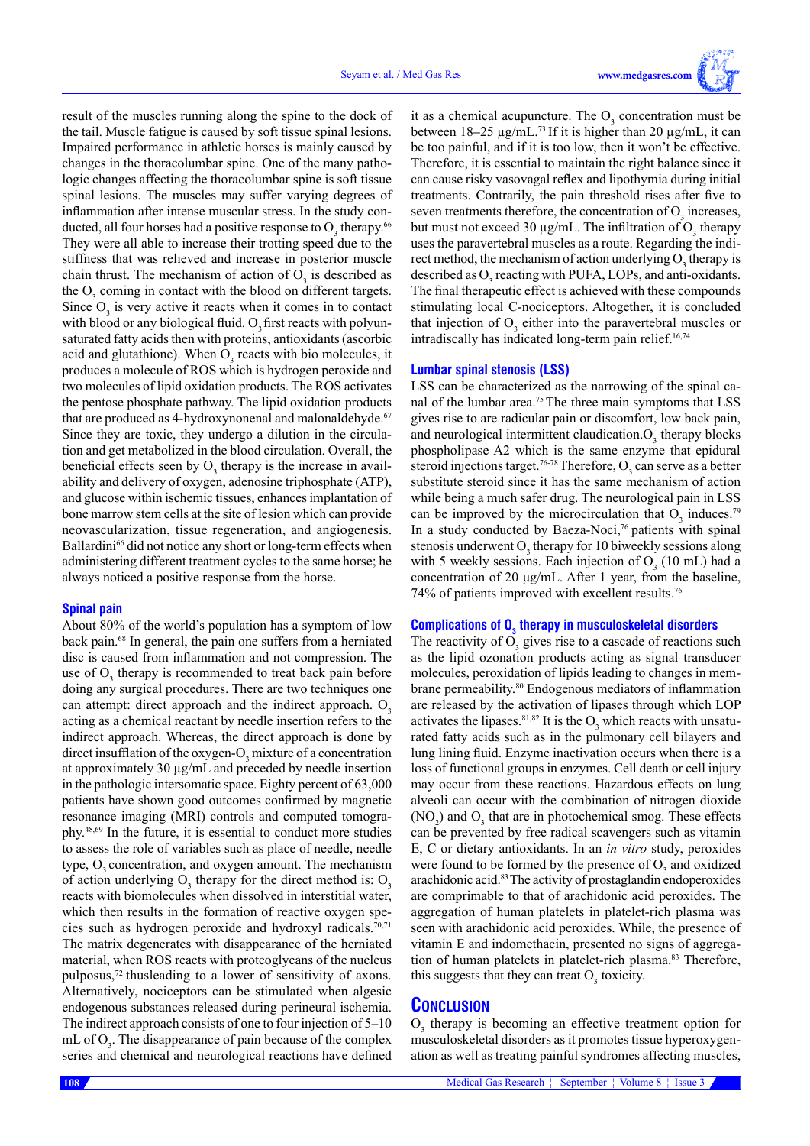result of the muscles running along the spine to the dock of the tail. Muscle fatigue is caused by soft tissue spinal lesions. Impaired performance in athletic horses is mainly caused by changes in the thoracolumbar spine. One of the many pathologic changes affecting the thoracolumbar spine is soft tissue spinal lesions. The muscles may suffer varying degrees of inflammation after intense muscular stress. In the study conducted, all four horses had a positive response to  $O_3$  therapy.<sup>66</sup> They were all able to increase their trotting speed due to the stiffness that was relieved and increase in posterior muscle chain thrust. The mechanism of action of  $O_3$  is described as the  $O_3$  coming in contact with the blood on different targets. Since  $O_3$  is very active it reacts when it comes in to contact with blood or any biological fluid.  $O<sub>3</sub>$  first reacts with polyunsaturated fatty acids then with proteins, antioxidants (ascorbic acid and glutathione). When  $O_3$  reacts with bio molecules, it produces a molecule of ROS which is hydrogen peroxide and two molecules of lipid oxidation products. The ROS activates the pentose phosphate pathway. The lipid oxidation products that are produced as 4-hydroxynonenal and malonaldehyde. $67$ Since they are toxic, they undergo a dilution in the circulation and get metabolized in the blood circulation. Overall, the beneficial effects seen by  $O_3$  therapy is the increase in availability and delivery of oxygen, adenosine triphosphate (ATP), and glucose within ischemic tissues, enhances implantation of bone marrow stem cells at the site of lesion which can provide neovascularization, tissue regeneration, and angiogenesis. Ballardini<sup>66</sup> did not notice any short or long-term effects when administering different treatment cycles to the same horse; he always noticed a positive response from the horse.

# **Spinal pain**

About 80% of the world's population has a symptom of low back pain.68 In general, the pain one suffers from a herniated disc is caused from inflammation and not compression. The use of  $O_3$  therapy is recommended to treat back pain before doing any surgical procedures. There are two techniques one can attempt: direct approach and the indirect approach.  $O<sub>3</sub>$ acting as a chemical reactant by needle insertion refers to the indirect approach. Whereas, the direct approach is done by direct insufflation of the oxygen- $O_3$  mixture of a concentration at approximately 30 µg/mL and preceded by needle insertion in the pathologic intersomatic space. Eighty percent of 63,000 patients have shown good outcomes confirmed by magnetic resonance imaging (MRI) controls and computed tomography.48,69 In the future, it is essential to conduct more studies to assess the role of variables such as place of needle, needle type,  $O<sub>3</sub>$  concentration, and oxygen amount. The mechanism of action underlying  $O_3$  therapy for the direct method is:  $O_3$ reacts with biomolecules when dissolved in interstitial water, which then results in the formation of reactive oxygen species such as hydrogen peroxide and hydroxyl radicals.70,71 The matrix degenerates with disappearance of the herniated material, when ROS reacts with proteoglycans of the nucleus pulposus,72 thusleading to a lower of sensitivity of axons. Alternatively, nociceptors can be stimulated when algesic endogenous substances released during perineural ischemia. The indirect approach consists of one to four injection of 5–10 mL of  $O_3$ . The disappearance of pain because of the complex series and chemical and neurological reactions have defined

it as a chemical acupuncture. The  $O_3$  concentration must be between  $18-25 \mu g/mL$ .<sup>73</sup> If it is higher than 20  $\mu g/mL$ , it can be too painful, and if it is too low, then it won't be effective. Therefore, it is essential to maintain the right balance since it can cause risky vasovagal reflex and lipothymia during initial treatments. Contrarily, the pain threshold rises after five to seven treatments therefore, the concentration of  $O_3$  increases, but must not exceed 30  $\mu$ g/mL. The infiltration of O<sub>3</sub> therapy uses the paravertebral muscles as a route. Regarding the indirect method, the mechanism of action underlying  $O_3$  therapy is described as  $O_3$  reacting with PUFA, LOPs, and anti-oxidants. The final therapeutic effect is achieved with these compounds stimulating local C-nociceptors. Altogether, it is concluded that injection of  $O_3$  either into the paravertebral muscles or intradiscally has indicated long-term pain relief. $16,74$ 

## **Lumbar spinal stenosis (LSS)**

LSS can be characterized as the narrowing of the spinal canal of the lumbar area.75 The three main symptoms that LSS gives rise to are radicular pain or discomfort, low back pain, and neurological intermittent claudication. $O_3$  therapy blocks phospholipase A2 which is the same enzyme that epidural steroid injections target.<sup>76-78</sup> Therefore,  $O_3$  can serve as a better substitute steroid since it has the same mechanism of action while being a much safer drug. The neurological pain in LSS can be improved by the microcirculation that  $O_3$  induces.<sup>79</sup> In a study conducted by Baeza-Noci,<sup>76</sup> patients with spinal stenosis underwent  $O_3$  therapy for 10 biweekly sessions along with 5 weekly sessions. Each injection of  $O_3$  (10 mL) had a concentration of 20 μg/mL. After 1 year, from the baseline, 74% of patients improved with excellent results.76

# Complications of O<sub>3</sub> therapy in musculoskeletal disorders

The reactivity of  $O_3$  gives rise to a cascade of reactions such as the lipid ozonation products acting as signal transducer molecules, peroxidation of lipids leading to changes in membrane permeability.<sup>80</sup> Endogenous mediators of inflammation are released by the activation of lipases through which LOP activates the lipases.<sup>81,82</sup> It is the  $O_3$  which reacts with unsaturated fatty acids such as in the pulmonary cell bilayers and lung lining fluid. Enzyme inactivation occurs when there is a loss of functional groups in enzymes. Cell death or cell injury may occur from these reactions. Hazardous effects on lung alveoli can occur with the combination of nitrogen dioxide  $(NO<sub>2</sub>)$  and  $O<sub>3</sub>$  that are in photochemical smog. These effects can be prevented by free radical scavengers such as vitamin E, C or dietary antioxidants. In an *in vitro* study, peroxides were found to be formed by the presence of  $O_3$  and oxidized arachidonic acid.83 The activity of prostaglandin endoperoxides are comprimable to that of arachidonic acid peroxides. The aggregation of human platelets in platelet-rich plasma was seen with arachidonic acid peroxides. While, the presence of vitamin E and indomethacin, presented no signs of aggregation of human platelets in platelet-rich plasma.<sup>83</sup> Therefore, this suggests that they can treat  $O_3$  toxicity.

# **CONCLUSION**

 $O_3$  therapy is becoming an effective treatment option for musculoskeletal disorders as it promotes tissue hyperoxygenation as well as treating painful syndromes affecting muscles,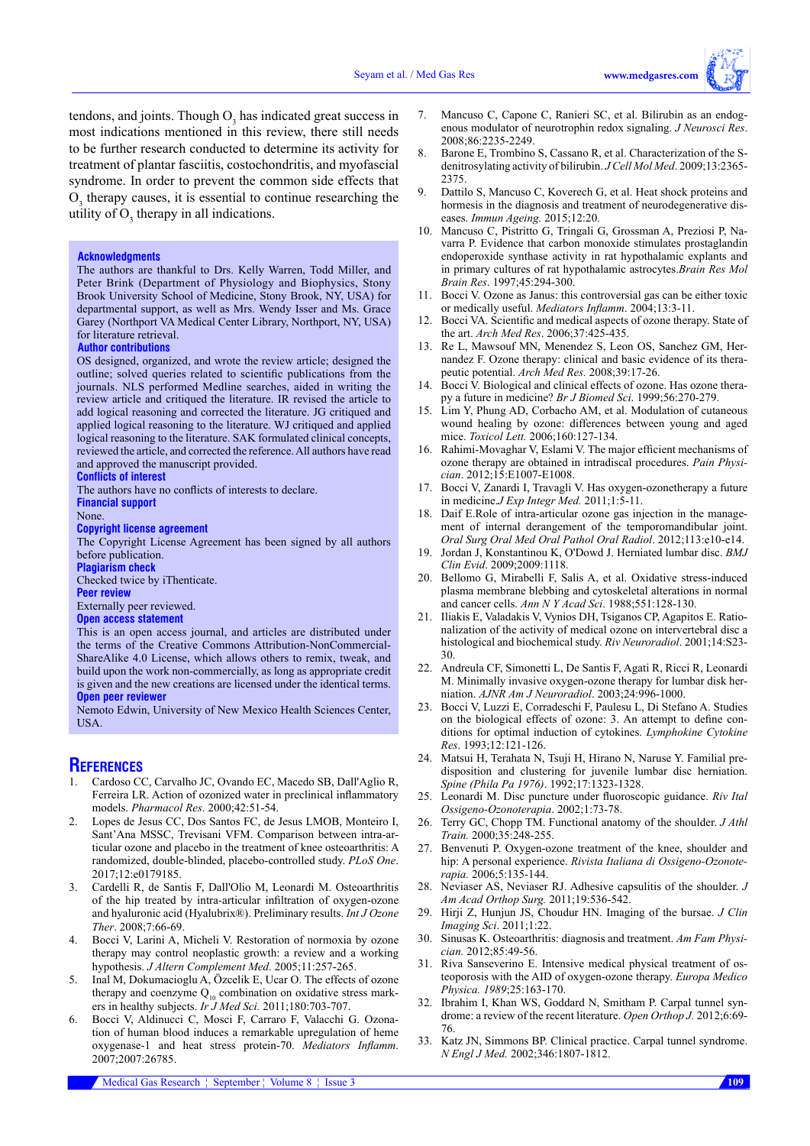tendons, and joints. Though  $O_3$  has indicated great success in most indications mentioned in this review, there still needs to be further research conducted to determine its activity for treatment of plantar fasciitis, costochondritis, and myofascial syndrome. In order to prevent the common side effects that  $O<sub>3</sub>$  therapy causes, it is essential to continue researching the utility of  $O_3$  therapy in all indications.

#### **Acknowledgments**

The authors are thankful to Drs. Kelly Warren, Todd Miller, and Peter Brink (Department of Physiology and Biophysics, Stony Brook University School of Medicine, Stony Brook, NY, USA) for departmental support, as well as Mrs. Wendy Isser and Ms. Grace Garey (Northport VA Medical Center Library, Northport, NY, USA) for literature retrieval.

#### **Author contributions**

OS designed, organized, and wrote the review article; designed the outline; solved queries related to scientific publications from the journals. NLS performed Medline searches, aided in writing the review article and critiqued the literature. IR revised the article to add logical reasoning and corrected the literature. JG critiqued and applied logical reasoning to the literature. WJ critiqued and applied logical reasoning to the literature. SAK formulated clinical concepts, reviewed the article, and corrected the reference. All authors have read and approved the manuscript provided.

#### **Conflicts of interest**

The authors have no conflicts of interests to declare. **Financial support**

#### None.

**Copyright license agreement**

The Copyright License Agreement has been signed by all authors before publication.

**Plagiarism check**

Checked twice by iThenticate.

**Peer review**

Externally peer reviewed.

**Open access statement**

This is an open access journal, and articles are distributed under the terms of the Creative Commons Attribution-NonCommercial-ShareAlike 4.0 License, which allows others to remix, tweak, and build upon the work non-commercially, as long as appropriate credit is given and the new creations are licensed under the identical terms. **Open peer reviewer**

Nemoto Edwin, University of New Mexico Health Sciences Center, USA.

# **References**

- 1. Cardoso CC, Carvalho JC, Ovando EC, Macedo SB, Dall'Aglio R, Ferreira LR. Action of ozonized water in preclinical inflammatory models. *Pharmacol Res*. 2000;42:51-54.
- 2. Lopes de Jesus CC, Dos Santos FC, de Jesus LMOB, Monteiro I, Sant'Ana MSSC, Trevisani VFM. Comparison between intra-articular ozone and placebo in the treatment of knee osteoarthritis: A randomized, double-blinded, placebo-controlled study. *PLoS One*. 2017;12:e0179185.
- 3. Cardelli R, de Santis F, Dall'Olio M, Leonardi M. Osteoarthritis of the hip treated by intra-articular infiltration of oxygen-ozone and hyaluronic acid (Hyalubrix®). Preliminary results. *Int J Ozone Ther*. 2008;7:66-69.
- 4. Bocci V, Larini A, Micheli V. Restoration of normoxia by ozone therapy may control neoplastic growth: a review and a working hypothesis. *J Altern Complement Med*. 2005;11:257-265.
- 5. Inal M, Dokumacioglu A, Özcelik E, Ucar O. The effects of ozone therapy and coenzyme Q<sub>10</sub> combination on oxidative stress mark-<br>ers in healthy subjects. *Ir J Med Sci.* 2011;180:703-707.
- 6. Bocci V, Aldinucci C, Mosci F, Carraro F, Valacchi G. Ozonation of human blood induces a remarkable upregulation of heme oxygenase-1 and heat stress protein-70. *Mediators Inflamm*. 2007;2007:26785.
- 7. Mancuso C, Capone C, Ranieri SC, et al. Bilirubin as an endogenous modulator of neurotrophin redox signaling. *J Neurosci Res*. 2008;86:2235-2249.
- Barone E, Trombino S, Cassano R, et al. Characterization of the Sdenitrosylating activity of bilirubin. *J Cell Mol Med*. 2009;13:2365- 2375.
- 9. Dattilo S, Mancuso C, Koverech G, et al. Heat shock proteins and hormesis in the diagnosis and treatment of neurodegenerative diseases. *Immun Ageing.* 2015;12:20.
- 10. Mancuso C, Pistritto G, Tringali G, Grossman A, Preziosi P, Navarra P. Evidence that carbon monoxide stimulates prostaglandin endoperoxide synthase activity in rat hypothalamic explants and in primary cultures of rat hypothalamic astrocytes.*Brain Res Mol Brain Res*. 1997;45:294-300.
- 11. Bocci V. Ozone as Janus: this controversial gas can be either toxic or medically useful. *Mediators Inflamm*. 2004;13:3-11.
- 12. Bocci VA. Scientific and medical aspects of ozone therapy. State of the art. *Arch Med Res*. 2006;37:425-435.
- 13. Re L, Mawsouf MN, Menendez S, Leon OS, Sanchez GM, Hernandez F. Ozone therapy: clinical and basic evidence of its therapeutic potential. *Arch Med Res.* 2008;39:17-26.
- 14. Bocci V. Biological and clinical effects of ozone. Has ozone therapy a future in medicine? *Br J Biomed Sci*. 1999;56:270-279.
- 15. Lim Y, Phung AD, Corbacho AM, et al. Modulation of cutaneous wound healing by ozone: differences between young and aged mice. *Toxicol Lett.* 2006;160:127-134.
- 16. Rahimi-Movaghar V, Eslami V. The major efficient mechanisms of ozone therapy are obtained in intradiscal procedures. *Pain Physician*. 2012;15:E1007-E1008.
- 17. Bocci V, Zanardi I, Travagli V. Has oxygen-ozonetherapy a future in medicine.*J Exp Integr Med.* 2011;1:5-11.
- 18. Daif E.Role of intra-articular ozone gas injection in the management of internal derangement of the temporomandibular joint. *Oral Surg Oral Med Oral Pathol Oral Radiol*. 2012;113:e10-e14.
- 19. Jordan J, Konstantinou K, O'Dowd J. Herniated lumbar disc. *BMJ Clin Evid*. 2009;2009:1118.
- 20. Bellomo G, Mirabelli F, Salis A, et al. Oxidative stress-induced plasma membrane blebbing and cytoskeletal alterations in normal and cancer cells. *Ann N Y Acad Sci*. 1988;551:128-130.
- 21. Iliakis E, Valadakis V, Vynios DH, Tsiganos CP, Agapitos E. Rationalization of the activity of medical ozone on intervertebral disc a histological and biochemical study. *Riv Neuroradiol*. 2001;14:S23- 30.
- 22. Andreula CF, Simonetti L, De Santis F, Agati R, Ricci R, Leonardi M. Minimally invasive oxygen-ozone therapy for lumbar disk herniation. *AJNR Am J Neuroradiol*. 2003;24:996-1000.
- 23. Bocci V, Luzzi E, Corradeschi F, Paulesu L, Di Stefano A. Studies on the biological effects of ozone: 3. An attempt to define conditions for optimal induction of cytokines. *Lymphokine Cytokine Res*. 1993;12:121-126.
- 24. Matsui H, Terahata N, Tsuji H, Hirano N, Naruse Y. Familial predisposition and clustering for juvenile lumbar disc herniation. *Spine (Phila Pa 1976)*. 1992;17:1323-1328.
- 25. Leonardi M. Disc puncture under fluoroscopic guidance. *Riv Ital Ossigeno-Ozonoterapia*. 2002;1:73-78.
- 26. Terry GC, Chopp TM. Functional anatomy of the shoulder. *J Athl Train.* 2000;35:248-255.
- 27. Benvenuti P. Oxygen-ozone treatment of the knee, shoulder and hip: A personal experience. *Rivista Italiana di Ossigeno-Ozonoterapia.* 2006;5:135-144.
- 28. Neviaser AS, Neviaser RJ. Adhesive capsulitis of the shoulder. *J Am Acad Orthop Surg.* 2011;19:536-542.
- 29. Hirji Z, Hunjun JS, Choudur HN. Imaging of the bursae. *J Clin Imaging Sci*. 2011;1:22.
- 30. Sinusas K. Osteoarthritis: diagnosis and treatment. *Am Fam Physician.* 2012;85:49-56.
- 31. Riva Sanseverino E. Intensive medical physical treatment of osteoporosis with the AID of oxygen-ozone therapy. *Europa Medico Physica. 1989*;25:163-170.
- 32. Ibrahim I, Khan WS, Goddard N, Smitham P. Carpal tunnel syndrome: a review of the recent literature. *Open Orthop J.* 2012;6:69- 76.
- 33. Katz JN, Simmons BP. Clinical practice. Carpal tunnel syndrome. *N Engl J Med.* 2002;346:1807-1812.